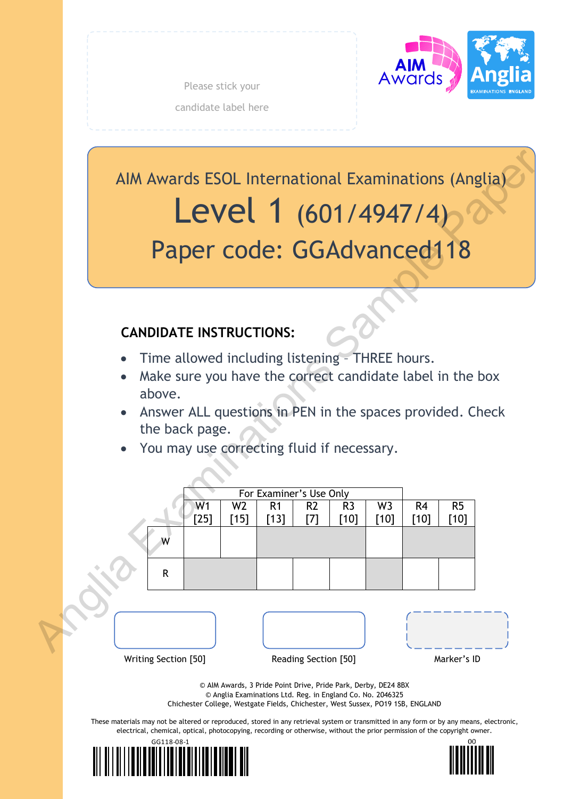

Please stick your candidate label here

AIM Awards ESOL International Examinations (Anglia) Level 1 (601/4947/4) Paper code: GGAdvanced118

# **CANDIDATE INSTRUCTIONS:**

- Time allowed including listening THREE hours.
- Make sure you have the correct candidate label in the box above.
- Answer ALL questions in PEN in the spaces provided. Check the back page.
- You may use correcting fluid if necessary.



© Anglia Examinations Ltd. Reg. in England Co. No. 2046325 Chichester College, Westgate Fields, Chichester, West Sussex, PO19 1SB, ENGLAND

These materials may not be altered or reproduced, stored in any retrieval system or transmitted in any form or by any means, electronic, electrical, chemical, optical, photocopying, recording or otherwise, without the prior permission of the copyright owner.



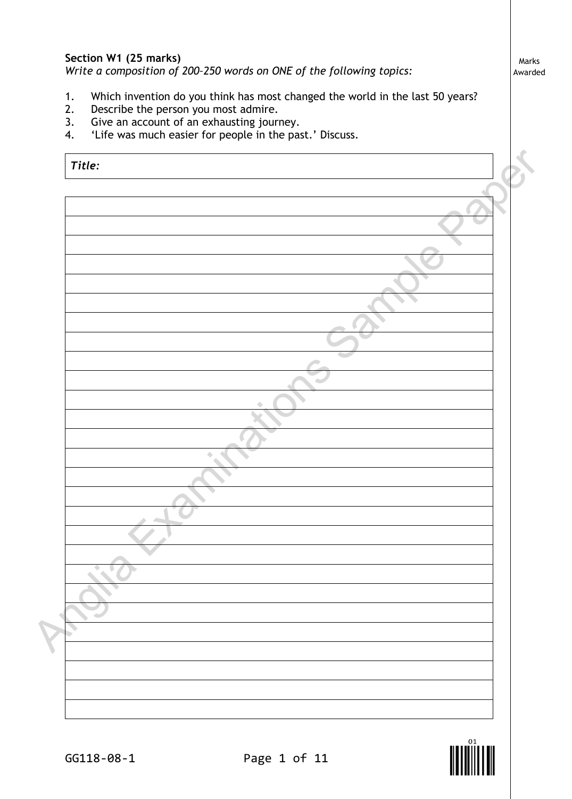# **Section W1 (25 marks)**

*Write a composition of 200–250 words on ONE of the following topics:*

- 1. Which invention do you think has most changed the world in the last 50 years?<br>2. Describe the person you most admire.
- Describe the person you most admire.
- 3. Give an account of an exhausting journey.<br>4. 'Life was much easier for people in the pas
- 'Life was much easier for people in the past.' Discuss.

| Title: |   |  |
|--------|---|--|
|        |   |  |
|        |   |  |
|        |   |  |
|        |   |  |
|        |   |  |
|        |   |  |
|        |   |  |
|        |   |  |
|        |   |  |
|        |   |  |
|        |   |  |
|        |   |  |
|        |   |  |
|        | ۵ |  |
|        |   |  |
|        |   |  |
|        |   |  |
|        |   |  |
|        |   |  |
|        |   |  |
|        |   |  |
|        |   |  |
|        |   |  |
|        |   |  |
|        |   |  |
|        |   |  |

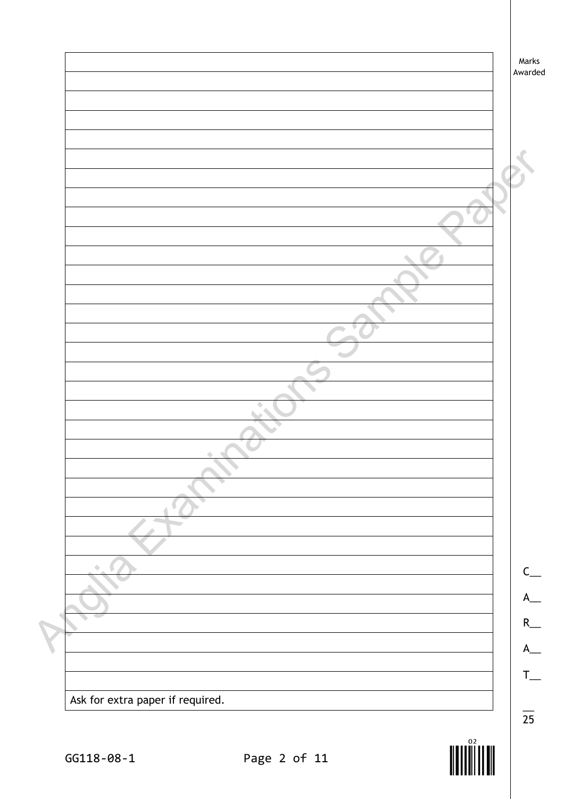|                                  | Marks<br>Awarded |
|----------------------------------|------------------|
|                                  |                  |
|                                  |                  |
|                                  |                  |
|                                  |                  |
|                                  |                  |
|                                  |                  |
|                                  |                  |
|                                  |                  |
|                                  |                  |
|                                  |                  |
|                                  |                  |
|                                  |                  |
|                                  |                  |
|                                  |                  |
|                                  |                  |
|                                  |                  |
|                                  |                  |
|                                  |                  |
|                                  |                  |
|                                  |                  |
| ۰                                |                  |
|                                  |                  |
|                                  |                  |
|                                  |                  |
|                                  |                  |
| ۰                                |                  |
|                                  | $\mathsf{C}$     |
|                                  |                  |
|                                  | R                |
|                                  |                  |
|                                  |                  |
|                                  |                  |
|                                  |                  |
| Ask for extra paper if required. |                  |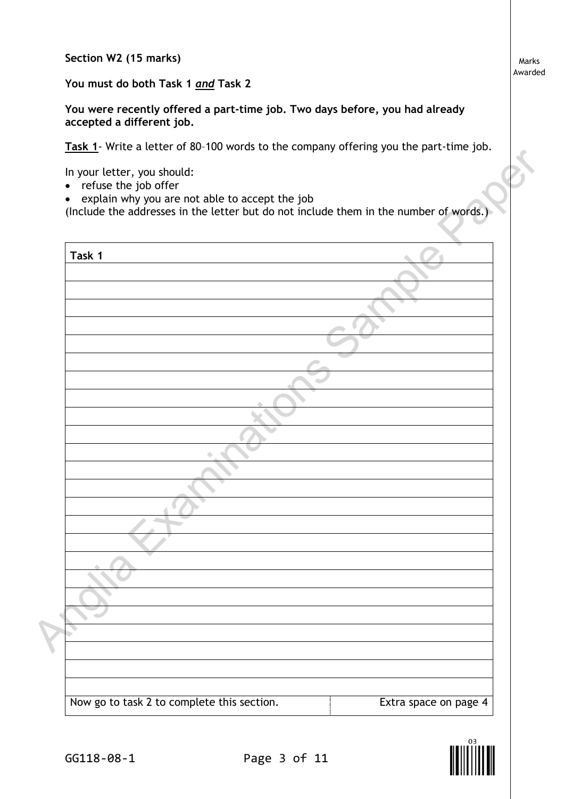**Section W2 (15 marks)**

**You must do both Task 1** *and* **Task 2**

**You were recently offered a part-time job. Two days before, you had already accepted a different job.**

**Task 1**- Write a letter of 80–100 words to the company offering you the part-time job.

- refuse the job offer
- explain why you are not able to accept the job

| Task 1 |  |  |
|--------|--|--|
|        |  |  |
|        |  |  |
|        |  |  |
|        |  |  |
|        |  |  |
|        |  |  |
|        |  |  |
|        |  |  |
|        |  |  |
|        |  |  |
|        |  |  |
|        |  |  |
|        |  |  |
|        |  |  |
|        |  |  |
|        |  |  |
|        |  |  |
|        |  |  |
|        |  |  |

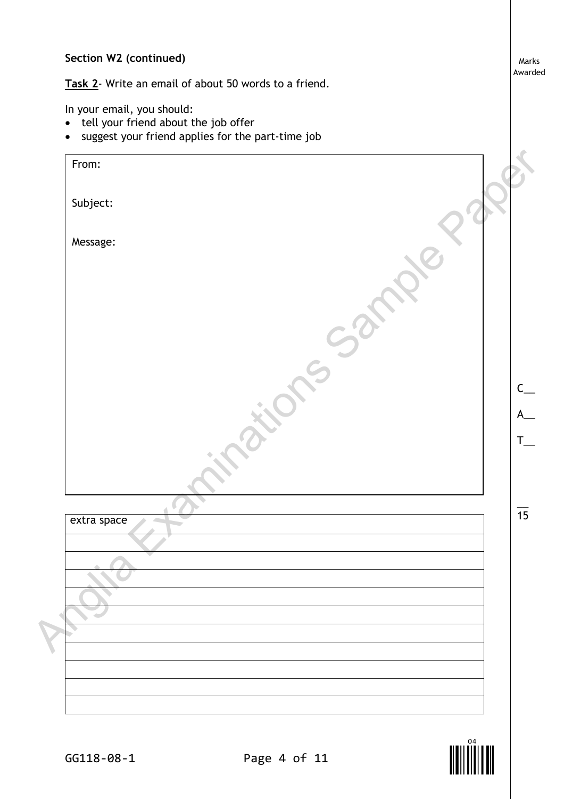## **Section W2 (continued)**

**Task 2**- Write an email of about 50 words to a friend.

In your email, you should:

- tell your friend about the job offer
- suggest your friend applies for the part-time job

extra space From: Subject: Message:  $\overline{\phantom{a}}$  $\overline{15}$  $\mathsf{C}$  $\overline{\mathsf{A}}$  $T_{\perp}$ PRODUCE:<br>MASSAGE:<br>MASSAGE:<br>MASSAGE:<br>ANGLES SAMPLE CONSIDERS OF PAPER

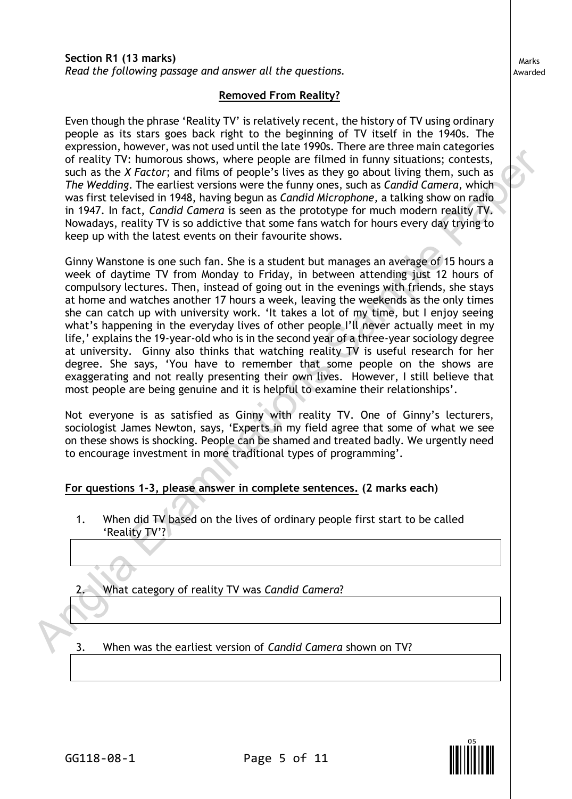### **Removed From Reality?**

Even though the phrase 'Reality TV' is relatively recent, the history of TV using ordinary people as its stars goes back right to the beginning of TV itself in the 1940s. The expression, however, was not used until the late 1990s. There are three main categories of reality TV: humorous shows, where people are filmed in funny situations; contests, such as the *X Factor*; and films of people's lives as they go about living them, such as *The Wedding*. The earliest versions were the funny ones, such as *Candid Camera,* which was first televised in 1948, having begun as *Candid Microphone,* a talking show on radio in 1947. In fact, *Candid Camera* is seen as the prototype for much modern reality TV. Nowadays, reality TV is so addictive that some fans watch for hours every day trying to keep up with the latest events on their favourite shows.

Ginny Wanstone is one such fan. She is a student but manages an average of 15 hours a week of daytime TV from Monday to Friday, in between attending just 12 hours of compulsory lectures. Then, instead of going out in the evenings with friends, she stays at home and watches another 17 hours a week, leaving the weekends as the only times she can catch up with university work. 'It takes a lot of my time, but I enjoy seeing what's happening in the everyday lives of other people I'll never actually meet in my life,' explains the 19-year-old who is in the second year of a three-year sociology degree at university. Ginny also thinks that watching reality TV is useful research for her degree. She says, 'You have to remember that some people on the shows are exaggerating and not really presenting their own lives. However, I still believe that most people are being genuine and it is helpful to examine their relationships'. I: humorous shows, where people are filmed in funny situations; contests, humorous shows, where people are filmed in funny situations; contests, T. The earliest versions were the funny ones, such as Candid Camera, which wi

Not everyone is as satisfied as Ginny with reality TV. One of Ginny's lecturers, sociologist James Newton, says, 'Experts in my field agree that some of what we see on these shows is shocking. People can be shamed and treated badly. We urgently need to encourage investment in more traditional types of programming'.

### **For questions 1-3, please answer in complete sentences. (2 marks each)**

1. When did TV based on the lives of ordinary people first start to be called 'Reality TV'?

2. What category of reality TV was *Candid Camera*?

2. What cate 3. When was the earliest version of *Candid Camera* shown on TV?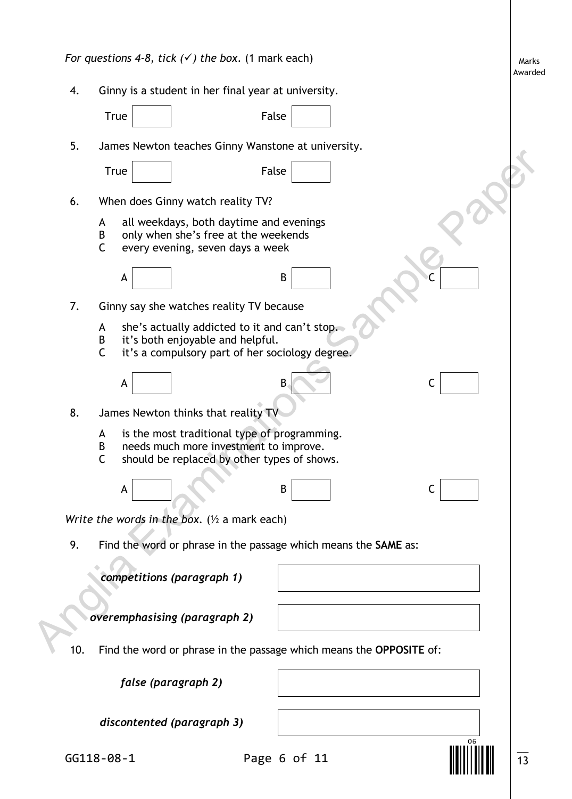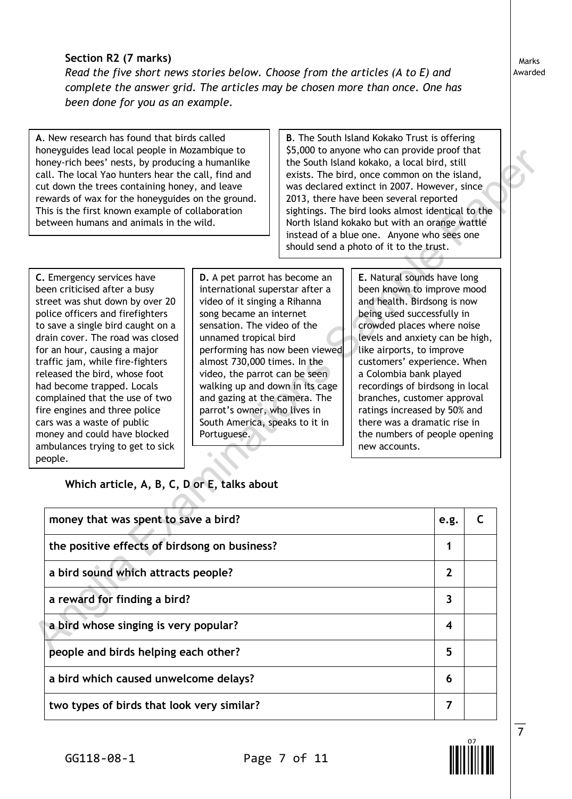# **Section R2 (7 marks)**

*Read the five short news stories below. Choose from the articles (A to E) and complete the answer grid. The articles may be chosen more than once. One has been done for you as an example.*

**A**. New research has found that birds called honeyguides lead local people in Mozambique to honey-rich bees' nests, by producing a humanlike call. The local Yao hunters hear the call, find and cut down the trees containing honey, and leave rewards of wax for the honeyguides on the ground. This is the first known example of collaboration between humans and animals in the wild.

**B**. The South Island Kokako Trust is offering \$5,000 to anyone who can provide proof that the South Island kokako, a local bird, still exists. The bird, once common on the island, was declared extinct in 2007. However, since 2013, there have been several reported sightings. The bird looks almost identical to the North Island kokako but with an orange wattle instead of a blue one. Anyone who sees one should send a photo of it to the trust.

| noneyguides tead tocat people in mozambique to<br>\$5,000 to anyone who can provide proof that<br>honey-rich bees' nests, by producing a humanlike<br>the South Island kokako, a local bird, still<br>call. The local Yao hunters hear the call, find and<br>exists. The bird, once common on the island,<br>cut down the trees containing honey, and leave<br>was declared extinct in 2007. However, since<br>2013, there have been several reported<br>rewards of wax for the honeyguides on the ground.<br>This is the first known example of collaboration<br>sightings. The bird looks almost identical to the<br>between humans and animals in the wild.<br>North Island kokako but with an orange wattle<br>instead of a blue one. Anyone who sees one                                                                                                                                                                                                                                                                                                                                                                                                                                                                                                                                                                                                                                                                                                                                            |                         |              |  |
|----------------------------------------------------------------------------------------------------------------------------------------------------------------------------------------------------------------------------------------------------------------------------------------------------------------------------------------------------------------------------------------------------------------------------------------------------------------------------------------------------------------------------------------------------------------------------------------------------------------------------------------------------------------------------------------------------------------------------------------------------------------------------------------------------------------------------------------------------------------------------------------------------------------------------------------------------------------------------------------------------------------------------------------------------------------------------------------------------------------------------------------------------------------------------------------------------------------------------------------------------------------------------------------------------------------------------------------------------------------------------------------------------------------------------------------------------------------------------------------------------------|-------------------------|--------------|--|
| should send a photo of it to the trust.                                                                                                                                                                                                                                                                                                                                                                                                                                                                                                                                                                                                                                                                                                                                                                                                                                                                                                                                                                                                                                                                                                                                                                                                                                                                                                                                                                                                                                                                  |                         |              |  |
| E. Natural sounds have long<br>C. Emergency services have<br><b>D.</b> A pet parrot has become an<br>been known to improve mood<br>been criticised after a busy<br>international superstar after a<br>street was shut down by over 20<br>video of it singing a Rihanna<br>and health. Birdsong is now<br>police officers and firefighters<br>song became an internet<br>being used successfully in<br>to save a single bird caught on a<br>sensation. The video of the<br>crowded places where noise<br>drain cover. The road was closed<br>unnamed tropical bird<br>levels and anxiety can be high,<br>performing has now been viewed<br>for an hour, causing a major<br>like airports, to improve<br>almost 730,000 times. In the<br>customers' experience. When<br>traffic jam, while fire-fighters<br>video, the parrot can be seen<br>released the bird, whose foot<br>a Colombia bank played<br>recordings of birdsong in local<br>had become trapped. Locals<br>walking up and down in its cage<br>complained that the use of two<br>and gazing at the camera. The<br>branches, customer approval<br>parrot's owner, who lives in<br>ratings increased by 50% and<br>fire engines and three police<br>South America, speaks to it in<br>there was a dramatic rise in<br>cars was a waste of public<br>money and could have blocked<br>the numbers of people opening<br>Portuguese.<br>ambulances trying to get to sick<br>new accounts.<br>people.<br>Which article, A, B, C, D or E, talks about |                         |              |  |
| money that was spent to save a bird?                                                                                                                                                                                                                                                                                                                                                                                                                                                                                                                                                                                                                                                                                                                                                                                                                                                                                                                                                                                                                                                                                                                                                                                                                                                                                                                                                                                                                                                                     | e.g.                    | $\mathsf{C}$ |  |
| the positive effects of birdsong on business?                                                                                                                                                                                                                                                                                                                                                                                                                                                                                                                                                                                                                                                                                                                                                                                                                                                                                                                                                                                                                                                                                                                                                                                                                                                                                                                                                                                                                                                            | 1                       |              |  |
| a bird sound which attracts people?                                                                                                                                                                                                                                                                                                                                                                                                                                                                                                                                                                                                                                                                                                                                                                                                                                                                                                                                                                                                                                                                                                                                                                                                                                                                                                                                                                                                                                                                      | $\overline{2}$          |              |  |
| a reward for finding a bird?                                                                                                                                                                                                                                                                                                                                                                                                                                                                                                                                                                                                                                                                                                                                                                                                                                                                                                                                                                                                                                                                                                                                                                                                                                                                                                                                                                                                                                                                             | 3                       |              |  |
| a bird whose singing is very popular?                                                                                                                                                                                                                                                                                                                                                                                                                                                                                                                                                                                                                                                                                                                                                                                                                                                                                                                                                                                                                                                                                                                                                                                                                                                                                                                                                                                                                                                                    | $\overline{\mathbf{4}}$ |              |  |
| people and birds helping each other?                                                                                                                                                                                                                                                                                                                                                                                                                                                                                                                                                                                                                                                                                                                                                                                                                                                                                                                                                                                                                                                                                                                                                                                                                                                                                                                                                                                                                                                                     | 5                       |              |  |
| a bird which caused unwelcome delays?                                                                                                                                                                                                                                                                                                                                                                                                                                                                                                                                                                                                                                                                                                                                                                                                                                                                                                                                                                                                                                                                                                                                                                                                                                                                                                                                                                                                                                                                    | 6                       |              |  |
| two types of birds that look very similar?                                                                                                                                                                                                                                                                                                                                                                                                                                                                                                                                                                                                                                                                                                                                                                                                                                                                                                                                                                                                                                                                                                                                                                                                                                                                                                                                                                                                                                                               | 7                       |              |  |



 $\overline{\phantom{a}}$ 7

Awarded

Marks

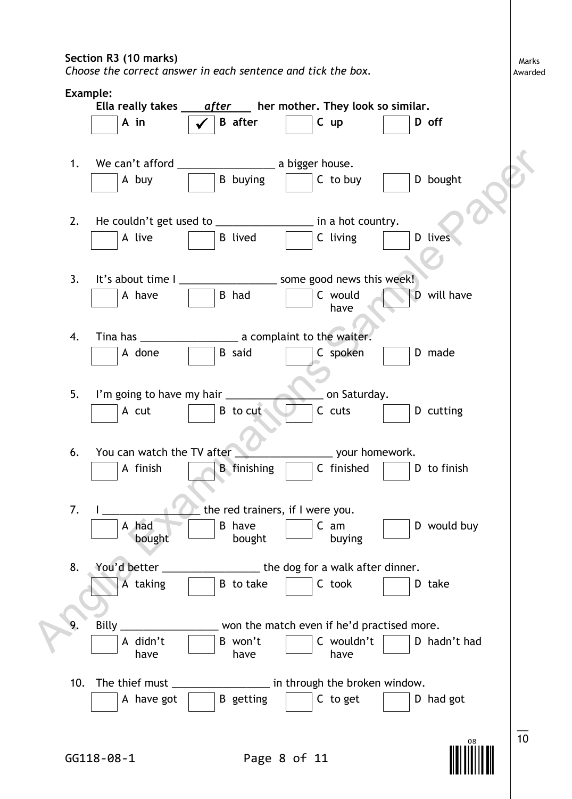#### **Section R3 (10 marks)**

*Choose the correct answer in each sentence and tick the box.*

**Example: Ella really takes** *after* **her mother. They look so similar. <sup>A</sup> in <sup>B</sup> after <sup>C</sup> up <sup>D</sup> off** 1. We can't afford a bigger house. A buy B buying C to buy D bought 2. He couldn't get used to \_\_\_\_\_\_\_\_\_\_\_\_\_\_\_\_\_\_ in a hot country. A live B lived C living D lives 3. It's about time I \_\_\_\_\_\_\_\_\_\_\_\_\_\_\_\_\_\_\_\_\_ some good news this week! A have  $\begin{array}{|c|c|c|c|c|c|} \hline \end{array}$  B had  $\begin{array}{|c|c|c|c|c|c|c|c|} \hline \end{array}$  C would have D will have 4. Tina has \_\_\_\_\_\_\_\_\_\_\_\_\_\_\_\_\_ a complaint to the waiter. A done  $\vert$  | B said | | C spoken | | D made 5. I'm going to have my hair **with the set of the Saturday**. A cut  $\Box$  B to cut  $\Box$  C cuts  $\Box$  D cutting 6. You can watch the TV after **William Contract Contract Contract View** your homework. A finish B finishing C finished D to finish 7. I **we can also the red trainers**, if I were you. A had bought B have bought C am buying D would buy 8. You'd better \_\_\_\_\_\_\_\_\_\_\_\_\_\_\_\_\_\_\_\_\_\_the dog for a walk after dinner. A taking  $\vert$  | B to take  $\vert$  | C took | | D take 9. Billy \_\_\_\_\_\_\_\_\_\_\_\_\_\_\_\_ won the match even if he'd practised more. A didn't have B won't have C wouldn't have D hadn't had 10. The thief must \_\_\_\_\_\_\_\_\_\_\_\_\_\_\_\_\_ in through the broken window. A have got  $\Box$  B getting  $\Box$  C to get  $\Box$  D had got  $\overline{\phantom{a}}$ 1. We can't afford<br>  $\begin{array}{|c|c|c|c|c|}\n\hline \end{array}$  A buy<br>  $\begin{array}{|c|c|c|c|}\n\hline \end{array}$  A buy<br>  $\begin{array}{|c|c|c|}\n\hline \end{array}$  B buying  $\begin{array}{|c|c|c|}\n\hline \end{array}$  B buying  $\begin{array}{|c|c|c|}\n\hline \end{array}$  C to buy  $\begin{array}{|c|c|c|}\n\hline \end{array}$  D bo



10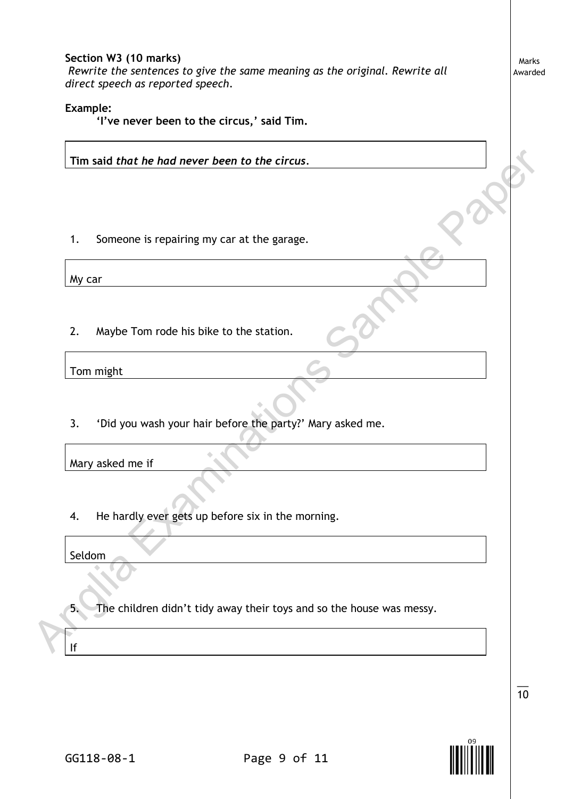## **Section W3 (10 marks)**  *Rewrite the sentences to give the same meaning as the original. Rewrite all*

*direct speech as reported speech.*

#### **Example:**

**'I've never been to the circus,' said Tim.**

**Tim said** *that he had never been to the circus.*

1. Someone is repairing my car at the garage.

My car

2. Maybe Tom rode his bike to the station.

Tom might

3. 'Did you wash your hair before the party?' Mary asked me.

Mary asked me if

4. He hardly ever gets up before six in the morning.

Seldom

5. The children didn't tidy away their toys and so the house was messy. Tim said that he had never been to the circus.<br>
1. Someone is repairing my car at the garage.<br>
My car<br>
2. Maybe Tom rode his blike to the station.<br>
Tom might<br>
3. 'Did you wash your hair before the party?' Mary asked me.<br>
M

Marks Awarded



 $\overline{\phantom{a}}$ 10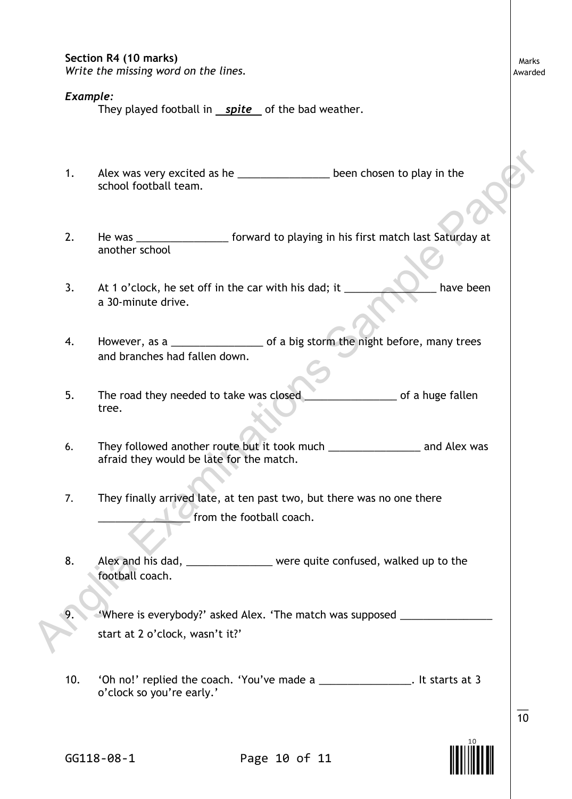### **Section R4 (10 marks)**

*Write the missing word on the lines.*

#### *Example:*

They played football in *spite* of the bad weather.

- 1. Alex was very excited as he \_\_\_\_\_\_\_\_\_\_\_\_\_\_\_\_\_ been chosen to play in the school football team.
- 2. He was \_\_\_\_\_\_\_\_\_\_\_\_\_\_\_\_\_ forward to playing in his first match last Saturday at another school
- 3. At 1 o'clock, he set off in the car with his dad; it \_\_\_\_\_\_\_\_\_\_\_\_\_\_ have been a 30-minute drive.
- 4. However, as a \_\_\_\_\_\_\_\_\_\_\_\_\_\_\_\_\_\_\_\_\_ of a big storm the night before, many trees and branches had fallen down.
- 5. The road they needed to take was closed **with the same component of a huge fallen** tree.
- 6. They followed another route but it took much \_\_\_\_\_\_\_\_\_\_\_\_\_\_\_\_\_\_\_ and Alex was afraid they would be late for the match.
- 7. They finally arrived late, at ten past two, but there was no one there from the football coach. And the state of the the state of the state of the state of the state of the state of the was denoted the state of the state of the state of the state of the state of the state of the state of the state of the state of the
	- 8. Alex and his dad, \_\_\_\_\_\_\_\_\_\_\_\_\_\_ were quite confused, walked up to the football coach.
	- 9. 'Where is everybody?' asked Alex. 'The match was supposed \_\_\_\_\_\_\_\_\_\_\_\_\_\_\_\_\_\_\_ start at 2 o'clock, wasn't it?'
	- 10. 'Oh no!' replied the coach. 'You've made a \_\_\_\_\_\_\_\_\_\_\_\_\_\_\_\_. It starts at 3 o'clock so you're early.'

Marks Awarded



 $\overline{\phantom{a}}$ 10